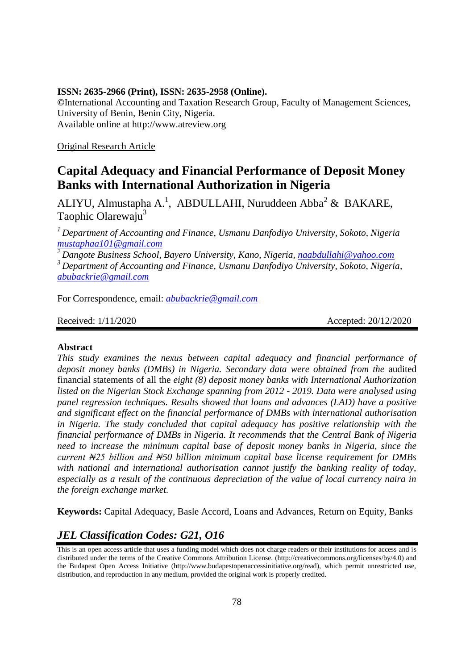### **ISSN: 2635-2966 (Print), ISSN: 2635-2958 (Online).**

**©**International Accounting and Taxation Research Group, Faculty of Management Sciences, University of Benin, Benin City, Nigeria. Available online at http://www.atreview.org

Original Research Article

# **Capital Adequacy and Financial Performance of Deposit Money Banks with International Authorization in Nigeria**

ALIYU, Almustapha A.<sup>1</sup>, ABDULLAHI, Nuruddeen Abba<sup>2</sup> & BAKARE, Taophic Olarewaju<sup>3</sup>

*<sup>1</sup>Department of Accounting and Finance, Usmanu Danfodiyo University, Sokoto, Nigeria [mustaphaa101@gmail.com](mailto:mustaphaa101@gmail.com)*

*<sup>2</sup>Dangote Business School, Bayero University, Kano, Nigeria, [naabdullahi@yahoo.com](mailto:naabdullahi@yahoo.com) <sup>3</sup>Department of Accounting and Finance, Usmanu Danfodiyo University, Sokoto, Nigeria, [abubackrie@gmail.com](mailto:abubackrie@gmail.com)*

For Correspondence, email: *[abubackrie@gmail.com](mailto:abubackrie@gmail.com)*

Received: 1/11/2020 **Accepted: 20/12/2020** 

# **Abstract**

*This study examines the nexus between capital adequacy and financial performance of deposit money banks (DMBs) in Nigeria. Secondary data were obtained from the* audited financial statements of all the *eight (8) deposit money banks with International Authorization listed on the Nigerian Stock Exchange spanning from 2012 - 2019. Data were analysed using panel regression techniques. Results showed that loans and advances (LAD) have a positive and significant effect on the financial performance of DMBs with international authorisation in Nigeria. The study concluded that capital adequacy has positive relationship with the financial performance of DMBs in Nigeria. It recommends that the Central Bank of Nigeria need to increase the minimum capital base of deposit money banks in Nigeria, since the current ₦25 billion and ₦50 billion minimum capital base license requirement for DMBs with national and international authorisation cannot justify the banking reality of today, especially as a result of the continuous depreciation of the value of local currency naira in the foreign exchange market.* 

**Keywords:** Capital Adequacy, Basle Accord, Loans and Advances, Return on Equity, Banks

# *JEL Classification Codes: G21, O16*

This is an open access article that uses a funding model which does not charge readers or their institutions for access and is distributed under the terms of the Creative Commons Attribution License. (http://creativecommons.org/licenses/by/4.0) and the Budapest Open Access Initiative (http://www.budapestopenaccessinitiative.org/read), which permit unrestricted use, distribution, and reproduction in any medium, provided the original work is properly credited.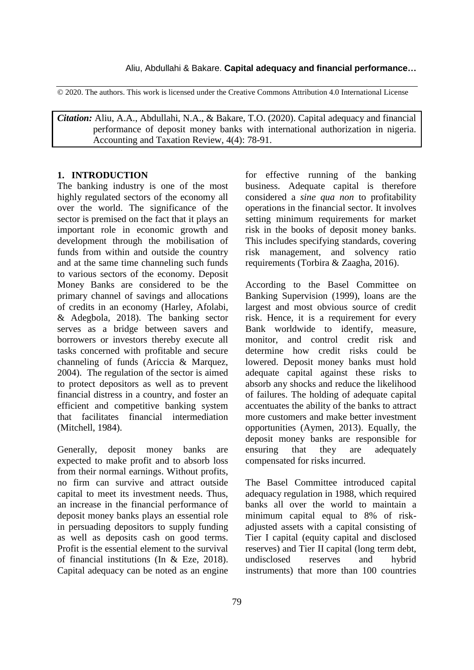© 2020. The authors. This work is licensed under the Creative Commons Attribution 4.0 International License

*Citation:* Aliu, A.A., Abdullahi, N.A., & Bakare, T.O. (2020). Capital adequacy and financial performance of deposit money banks with international authorization in nigeria. Accounting and Taxation Review, 4(4): 78-91.

## **1. INTRODUCTION**

The banking industry is one of the most highly regulated sectors of the economy all over the world. The significance of the sector is premised on the fact that it plays an important role in economic growth and development through the mobilisation of funds from within and outside the country and at the same time channeling such funds to various sectors of the economy. Deposit Money Banks are considered to be the primary channel of savings and allocations of credits in an economy (Harley, Afolabi, & Adegbola, 2018). The banking sector serves as a bridge between savers and borrowers or investors thereby execute all tasks concerned with profitable and secure channeling of funds (Ariccia & Marquez, 2004). The regulation of the sector is aimed to protect depositors as well as to prevent financial distress in a country, and foster an efficient and competitive banking system that facilitates financial intermediation (Mitchell, 1984).

Generally, deposit money banks are expected to make profit and to absorb loss from their normal earnings. Without profits, no firm can survive and attract outside capital to meet its investment needs. Thus, an increase in the financial performance of deposit money banks plays an essential role in persuading depositors to supply funding as well as deposits cash on good terms. Profit is the essential element to the survival of financial institutions (In & Eze, 2018). Capital adequacy can be noted as an engine

for effective running of the banking business. Adequate capital is therefore considered a *sine qua non* to profitability operations in the financial sector. It involves setting minimum requirements for market risk in the books of deposit money banks. This includes specifying standards, covering risk management, and solvency ratio requirements (Torbira & Zaagha, 2016).

According to the Basel Committee on Banking Supervision (1999), loans are the largest and most obvious source of credit risk. Hence, it is a requirement for every Bank worldwide to identify, measure, monitor, and control credit risk and determine how credit risks could be lowered. Deposit money banks must hold adequate capital against these risks to absorb any shocks and reduce the likelihood of failures. The holding of adequate capital accentuates the ability of the banks to attract more customers and make better investment opportunities (Aymen, 2013). Equally, the deposit money banks are responsible for ensuring that they are adequately compensated for risks incurred.

The Basel Committee introduced capital adequacy regulation in 1988, which required banks all over the world to maintain a minimum capital equal to 8% of riskadjusted assets with a capital consisting of Tier I capital (equity capital and disclosed reserves) and Tier II capital (long term debt, undisclosed reserves and hybrid instruments) that more than 100 countries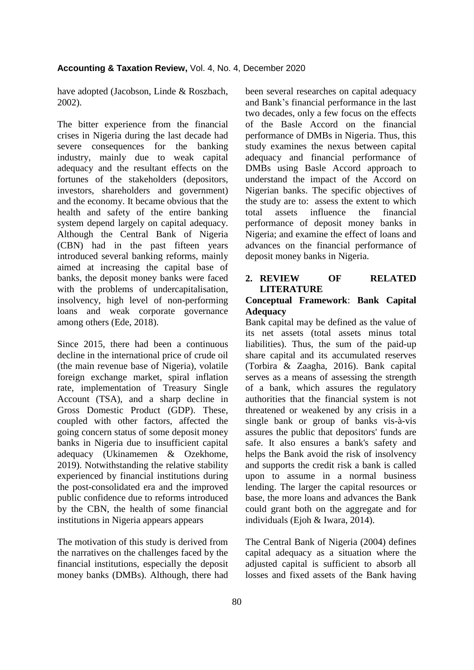have adopted (Jacobson, Linde & Roszbach, 2002).

The bitter experience from the financial crises in Nigeria during the last decade had severe consequences for the banking industry, mainly due to weak capital adequacy and the resultant effects on the fortunes of the stakeholders (depositors, investors, shareholders and government) and the economy. It became obvious that the health and safety of the entire banking system depend largely on capital adequacy. Although the Central Bank of Nigeria (CBN) had in the past fifteen years introduced several banking reforms, mainly aimed at increasing the capital base of banks, the deposit money banks were faced with the problems of undercapitalisation, insolvency, high level of non-performing loans and weak corporate governance among others (Ede, 2018).

Since 2015, there had been a continuous decline in the international price of crude oil (the main revenue base of Nigeria), volatile foreign exchange market, spiral inflation rate, implementation of Treasury Single Account (TSA), and a sharp decline in Gross Domestic Product (GDP). These, coupled with other factors, affected the going concern status of some deposit money banks in Nigeria due to insufficient capital adequacy (Ukinamemen & Ozekhome, 2019). Notwithstanding the relative stability experienced by financial institutions during the post-consolidated era and the improved public confidence due to reforms introduced by the CBN, the health of some financial institutions in Nigeria appears appears

The motivation of this study is derived from the narratives on the challenges faced by the financial institutions, especially the deposit money banks (DMBs). Although, there had been several researches on capital adequacy and Bank"s financial performance in the last two decades, only a few focus on the effects of the Basle Accord on the financial performance of DMBs in Nigeria. Thus, this study examines the nexus between capital adequacy and financial performance of DMBs using Basle Accord approach to understand the impact of the Accord on Nigerian banks. The specific objectives of the study are to: assess the extent to which total assets influence the financial performance of deposit money banks in Nigeria; and examine the effect of loans and advances on the financial performance of deposit money banks in Nigeria.

# **2. REVIEW OF RELATED LITERATURE**

# **Conceptual Framework**: **Bank Capital Adequacy**

Bank capital may be defined as the value of its net assets (total assets minus total liabilities). Thus, the sum of the paid-up share capital and its accumulated reserves (Torbira & Zaagha, 2016). Bank capital serves as a means of assessing the strength of a bank, which assures the regulatory authorities that the financial system is not threatened or weakened by any crisis in a single bank or group of banks vis-à-vis assures the public that depositors' funds are safe. It also ensures a bank's safety and helps the Bank avoid the risk of insolvency and supports the credit risk a bank is called upon to assume in a normal business lending. The larger the capital resources or base, the more loans and advances the Bank could grant both on the aggregate and for individuals (Ejoh & Iwara, 2014).

The Central Bank of Nigeria (2004) defines capital adequacy as a situation where the adjusted capital is sufficient to absorb all losses and fixed assets of the Bank having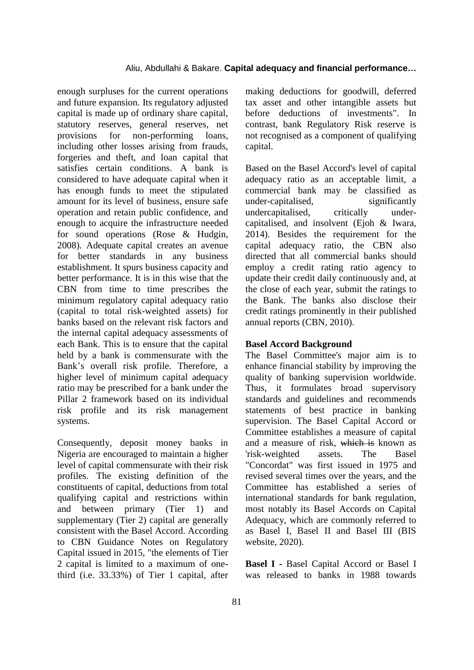# Aliu, Abdullahi & Bakare. **Capital adequacy and financial performance…**

enough surpluses for the current operations and future expansion. Its regulatory adjusted capital is made up of ordinary share capital, statutory reserves, general reserves, net provisions for non-performing loans, including other losses arising from frauds, forgeries and theft, and loan capital that satisfies certain conditions. A bank is considered to have adequate capital when it has enough funds to meet the stipulated amount for its level of business, ensure safe operation and retain public confidence, and enough to acquire the infrastructure needed for sound operations (Rose & Hudgin, 2008). Adequate capital creates an avenue for better standards in any business establishment. It spurs business capacity and better performance. It is in this wise that the CBN from time to time prescribes the minimum regulatory capital adequacy ratio (capital to total risk-weighted assets) for banks based on the relevant risk factors and the internal capital adequacy assessments of each Bank. This is to ensure that the capital held by a bank is commensurate with the Bank"s overall risk profile. Therefore, a higher level of minimum capital adequacy ratio may be prescribed for a bank under the Pillar 2 framework based on its individual risk profile and its risk management systems.

Consequently, deposit money banks in Nigeria are encouraged to maintain a higher level of capital commensurate with their risk profiles. The existing definition of the constituents of capital, deductions from total qualifying capital and restrictions within and between primary (Tier 1) and supplementary (Tier 2) capital are generally consistent with the Basel Accord. According to CBN Guidance Notes on Regulatory Capital issued in 2015, "the elements of Tier 2 capital is limited to a maximum of onethird (i.e. 33.33%) of Tier 1 capital, after

making deductions for goodwill, deferred tax asset and other intangible assets but before deductions of investments". In contrast, bank Regulatory Risk reserve is not recognised as a component of qualifying capital.

Based on the Basel Accord's level of capital adequacy ratio as an acceptable limit, a commercial bank may be classified as under-capitalised, significantly undercapitalised, critically undercapitalised, and insolvent (Ejoh & Iwara, 2014). Besides the requirement for the capital adequacy ratio, the CBN also directed that all commercial banks should employ a credit rating ratio agency to update their credit daily continuously and, at the close of each year, submit the ratings to the Bank. The banks also disclose their credit ratings prominently in their published annual reports (CBN, 2010).

## **Basel Accord Background**

The Basel Committee's major aim is to enhance financial stability by improving the quality of banking supervision worldwide. Thus, it formulates broad supervisory standards and guidelines and recommends statements of best practice in banking supervision. The Basel Capital Accord or Committee establishes a measure of capital and a measure of risk, which is known as 'risk-weighted assets. The Basel "Concordat" was first issued in 1975 and revised several times over the years, and the Committee has established a series of international standards for bank regulation, most notably its Basel Accords on Capital Adequacy, which are commonly referred to as Basel I, Basel II and Basel III (BIS website, 2020).

**Basel I -** Basel Capital Accord or Basel I was released to banks in 1988 towards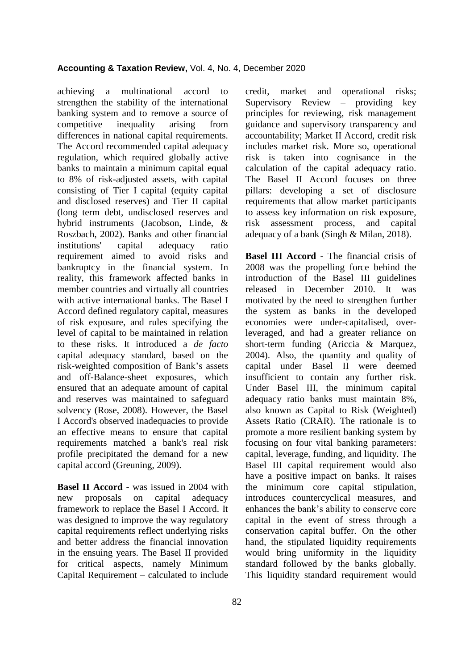achieving a multinational accord to strengthen the stability of the international banking system and to remove a source of competitive inequality arising from differences in national capital requirements. The Accord recommended capital adequacy regulation, which required globally active banks to maintain a minimum capital equal to 8% of risk-adjusted assets, with capital consisting of Tier I capital (equity capital and disclosed reserves) and Tier II capital (long term debt, undisclosed reserves and hybrid instruments (Jacobson, Linde, & Roszbach, 2002). Banks and other financial institutions' capital adequacy ratio requirement aimed to avoid risks and bankruptcy in the financial system. In reality, this framework affected banks in member countries and virtually all countries with active international banks. The Basel I Accord defined regulatory capital, measures of risk exposure, and rules specifying the level of capital to be maintained in relation to these risks. It introduced a *de facto* capital adequacy standard, based on the risk-weighted composition of Bank"s assets and off-Balance-sheet exposures, which ensured that an adequate amount of capital and reserves was maintained to safeguard solvency (Rose, 2008). However, the Basel I Accord's observed inadequacies to provide an effective means to ensure that capital requirements matched a bank's real risk profile precipitated the demand for a new capital accord (Greuning, 2009).

**Basel II Accord -** was issued in 2004 with new proposals on capital adequacy framework to replace the Basel I Accord. It was designed to improve the way regulatory capital requirements reflect underlying risks and better address the financial innovation in the ensuing years. The Basel II provided for critical aspects, namely Minimum Capital Requirement – calculated to include

credit, market and operational risks; Supervisory Review – providing key principles for reviewing, risk management guidance and supervisory transparency and accountability; Market II Accord, credit risk includes market risk. More so, operational risk is taken into cognisance in the calculation of the capital adequacy ratio. The Basel II Accord focuses on three pillars: developing a set of disclosure requirements that allow market participants to assess key information on risk exposure, risk assessment process, and capital adequacy of a bank (Singh & Milan, 2018).

**Basel III Accord -** The financial crisis of 2008 was the propelling force behind the introduction of the Basel III guidelines released in December 2010. It was motivated by the need to strengthen further the system as banks in the developed economies were under-capitalised, overleveraged, and had a greater reliance on short-term funding (Ariccia & Marquez, 2004). Also, the quantity and quality of capital under Basel II were deemed insufficient to contain any further risk. Under Basel III, the minimum capital adequacy ratio banks must maintain 8%, also known as Capital to Risk (Weighted) Assets Ratio (CRAR). The rationale is to promote a more resilient banking system by focusing on four vital banking parameters: capital, leverage, funding, and liquidity. The Basel III capital requirement would also have a positive impact on banks. It raises the minimum core capital stipulation, introduces countercyclical measures, and enhances the bank"s ability to conserve core capital in the event of stress through a conservation capital buffer. On the other hand, the stipulated liquidity requirements would bring uniformity in the liquidity standard followed by the banks globally. This liquidity standard requirement would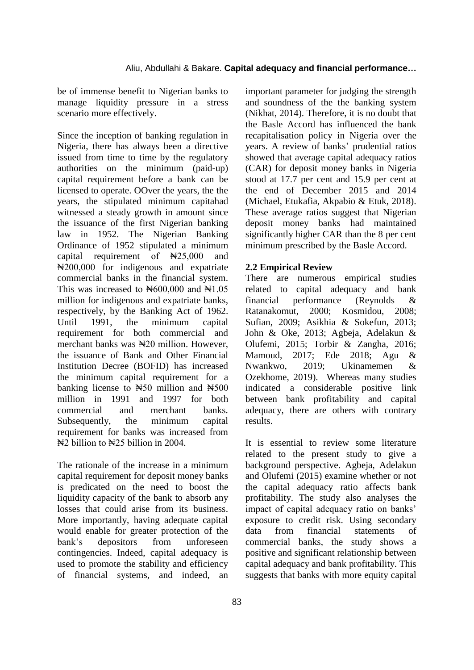be of immense benefit to Nigerian banks to manage liquidity pressure in a stress scenario more effectively.

Since the inception of banking regulation in Nigeria, there has always been a directive issued from time to time by the regulatory authorities on the minimum (paid-up) capital requirement before a bank can be licensed to operate. OOver the years, the the years, the stipulated minimum capitahad witnessed a steady growth in amount since the issuance of the first Nigerian banking law in 1952. The Nigerian Banking Ordinance of 1952 stipulated a minimum capital requirement of  $\mathbb{N}25,000$  and ₦200,000 for indigenous and expatriate commercial banks in the financial system. This was increased to  $\text{N}600,000$  and  $\text{N}1.05$ million for indigenous and expatriate banks, respectively, by the Banking Act of 1962. Until 1991, the minimum capital requirement for both commercial and merchant banks was  $\frac{120}{100}$  million. However, the issuance of Bank and Other Financial Institution Decree (BOFID) has increased the minimum capital requirement for a banking license to  $\text{H50}$  million and  $\text{H500}$ million in 1991 and 1997 for both commercial and merchant banks. Subsequently, the minimum capital requirement for banks was increased from  $\yen$ 2 billion to  $\yen$ 25 billion in 2004.

The rationale of the increase in a minimum capital requirement for deposit money banks is predicated on the need to boost the liquidity capacity of the bank to absorb any losses that could arise from its business. More importantly, having adequate capital would enable for greater protection of the bank"s depositors from unforeseen contingencies. Indeed, capital adequacy is used to promote the stability and efficiency of financial systems, and indeed, an

important parameter for judging the strength and soundness of the the banking system (Nikhat, 2014). Therefore, it is no doubt that the Basle Accord has influenced the bank recapitalisation policy in Nigeria over the years. A review of banks' prudential ratios showed that average capital adequacy ratios (CAR) for deposit money banks in Nigeria stood at 17.7 per cent and 15.9 per cent at the end of December 2015 and 2014 (Michael, Etukafia, Akpabio & Etuk, 2018). These average ratios suggest that Nigerian deposit money banks had maintained significantly higher CAR than the 8 per cent minimum prescribed by the Basle Accord.

# **2.2 Empirical Review**

There are numerous empirical studies related to capital adequacy and bank financial performance (Reynolds & Ratanakomut, 2000; Kosmidou, 2008; Sufian, 2009; Asikhia & Sokefun, 2013; John & Oke, 2013; Agbeja, Adelakun & Olufemi, 2015; Torbir & Zangha, 2016; Mamoud, 2017; Ede 2018; Agu & Nwankwo, 2019; Ukinamemen & Ozekhome, 2019). Whereas many studies indicated a considerable positive link between bank profitability and capital adequacy, there are others with contrary results.

It is essential to review some literature related to the present study to give a background perspective. Agbeja, Adelakun and Olufemi (2015) examine whether or not the capital adequacy ratio affects bank profitability. The study also analyses the impact of capital adequacy ratio on banks' exposure to credit risk. Using secondary data from financial statements of commercial banks, the study shows a positive and significant relationship between capital adequacy and bank profitability. This suggests that banks with more equity capital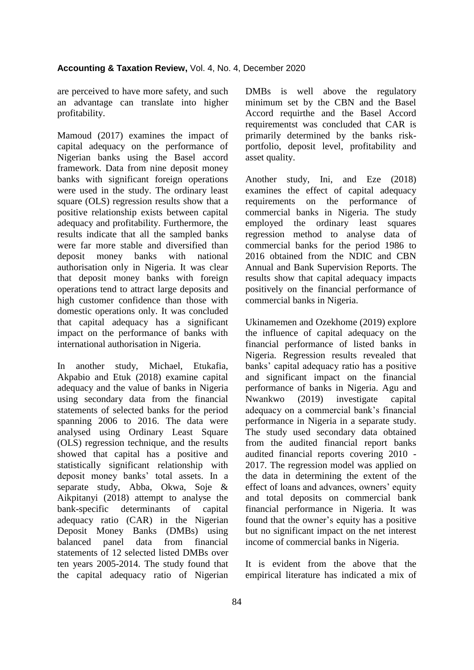are perceived to have more safety, and such an advantage can translate into higher profitability.

Mamoud (2017) examines the impact of capital adequacy on the performance of Nigerian banks using the Basel accord framework. Data from nine deposit money banks with significant foreign operations were used in the study. The ordinary least square (OLS) regression results show that a positive relationship exists between capital adequacy and profitability. Furthermore, the results indicate that all the sampled banks were far more stable and diversified than deposit money banks with national authorisation only in Nigeria. It was clear that deposit money banks with foreign operations tend to attract large deposits and high customer confidence than those with domestic operations only. It was concluded that capital adequacy has a significant impact on the performance of banks with international authorisation in Nigeria.

In another study, Michael, Etukafia, Akpabio and Etuk (2018) examine capital adequacy and the value of banks in Nigeria using secondary data from the financial statements of selected banks for the period spanning 2006 to 2016. The data were analysed using Ordinary Least Square (OLS) regression technique, and the results showed that capital has a positive and statistically significant relationship with deposit money banks" total assets. In a separate study, Abba, Okwa, Soje & Aikpitanyi (2018) attempt to analyse the bank-specific determinants of capital adequacy ratio (CAR) in the Nigerian Deposit Money Banks (DMBs) using balanced panel data from financial statements of 12 selected listed DMBs over ten years 2005-2014. The study found that the capital adequacy ratio of Nigerian

DMBs is well above the regulatory minimum set by the CBN and the Basel Accord requirthe and the Basel Accord requirementst was concluded that CAR is primarily determined by the banks riskportfolio, deposit level, profitability and asset quality.

Another study, Ini, and Eze (2018) examines the effect of capital adequacy requirements on the performance of commercial banks in Nigeria. The study employed the ordinary least squares regression method to analyse data of commercial banks for the period 1986 to 2016 obtained from the NDIC and CBN Annual and Bank Supervision Reports. The results show that capital adequacy impacts positively on the financial performance of commercial banks in Nigeria.

Ukinamemen and Ozekhome (2019) explore the influence of capital adequacy on the financial performance of listed banks in Nigeria. Regression results revealed that banks" capital adequacy ratio has a positive and significant impact on the financial performance of banks in Nigeria. Agu and Nwankwo (2019) investigate capital adequacy on a commercial bank"s financial performance in Nigeria in a separate study. The study used secondary data obtained from the audited financial report banks audited financial reports covering 2010 - 2017. The regression model was applied on the data in determining the extent of the effect of loans and advances, owners' equity and total deposits on commercial bank financial performance in Nigeria. It was found that the owner"s equity has a positive but no significant impact on the net interest income of commercial banks in Nigeria.

It is evident from the above that the empirical literature has indicated a mix of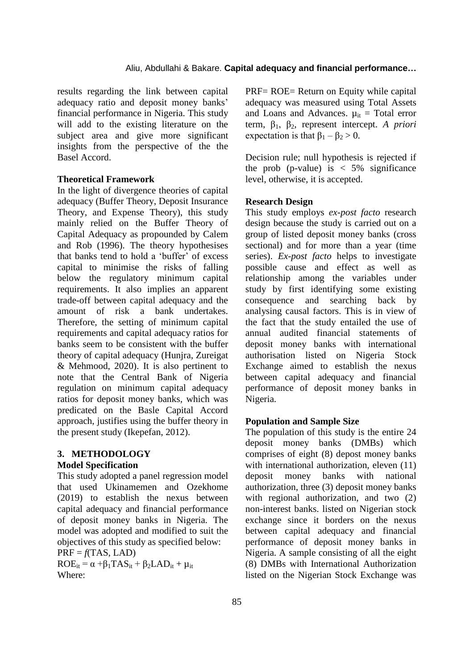results regarding the link between capital adequacy ratio and deposit money banks" financial performance in Nigeria. This study will add to the existing literature on the subject area and give more significant insights from the perspective of the the Basel Accord.

# **Theoretical Framework**

In the light of divergence theories of capital adequacy (Buffer Theory, Deposit Insurance Theory, and Expense Theory), this study mainly relied on the Buffer Theory of Capital Adequacy as propounded by Calem and Rob (1996). The theory hypothesises that banks tend to hold a "buffer" of excess capital to minimise the risks of falling below the regulatory minimum capital requirements. It also implies an apparent trade-off between capital adequacy and the amount of risk a bank undertakes. Therefore, the setting of minimum capital requirements and capital adequacy ratios for banks seem to be consistent with the buffer theory of capital adequacy (Hunjra, Zureigat & Mehmood, 2020). It is also pertinent to note that the Central Bank of Nigeria regulation on minimum capital adequacy ratios for deposit money banks, which was predicated on the Basle Capital Accord approach, justifies using the buffer theory in the present study (Ikepefan, 2012).

# **3. METHODOLOGY Model Specification**

This study adopted a panel regression model that used Ukinamemen and Ozekhome (2019) to establish the nexus between capital adequacy and financial performance of deposit money banks in Nigeria. The model was adopted and modified to suit the objectives of this study as specified below:

 $PRF = f(TAS, LAD)$ 

 $ROE_{it} = \alpha + \beta_1 TAS_{it} + \beta_2 LAD_{it} + \mu_{it}$ Where:

PRF= ROE= Return on Equity while capital adequacy was measured using Total Assets and Loans and Advances.  $\mu_{it}$  = Total error term,  $β_1$ ,  $β_2$ , represent intercept. *A priori* expectation is that  $\beta_1 - \beta_2 > 0$ .

Decision rule; null hypothesis is rejected if the prob (p-value) is  $\langle 5\%$  significance level, otherwise, it is accepted.

## **Research Design**

This study employs *ex-post facto* research design because the study is carried out on a group of listed deposit money banks (cross sectional) and for more than a year (time series). *Ex-post facto* helps to investigate possible cause and effect as well as relationship among the variables under study by first identifying some existing consequence and searching back by analysing causal factors. This is in view of the fact that the study entailed the use of annual audited financial statements of deposit money banks with international authorisation listed on Nigeria Stock Exchange aimed to establish the nexus between capital adequacy and financial performance of deposit money banks in Nigeria.

#### **Population and Sample Size**

The population of this study is the entire 24 deposit money banks (DMBs) which comprises of eight (8) depost money banks with international authorization, eleven  $(11)$ deposit money banks with national authorization, three (3) deposit money banks with regional authorization, and two (2) non-interest banks. listed on Nigerian stock exchange since it borders on the nexus between capital adequacy and financial performance of deposit money banks in Nigeria. A sample consisting of all the eight (8) DMBs with International Authorization listed on the Nigerian Stock Exchange was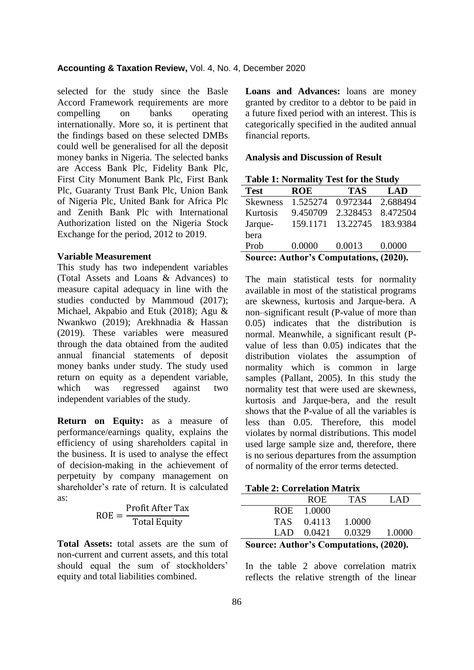selected for the study since the Basle Accord Framework requirements are more compelling on banks operating internationally. More so, it is pertinent that the findings based on these selected DMBs could well be generalised for all the deposit money banks in Nigeria. The selected banks are Access Bank Plc, Fidelity Bank Plc, First City Monument Bank Plc, First Bank Plc, Guaranty Trust Bank Plc, Union Bank of Nigeria Plc, United Bank for Africa Plc and Zenith Bank Plc with International Authorization listed on the Nigeria Stock Exchange for the period, 2012 to 2019.

### **Variable Measurement**

This study has two independent variables (Total Assets and Loans & Advances) to measure capital adequacy in line with the studies conducted by Mammoud (2017); Michael, Akpabio and Etuk (2018); Agu & Nwankwo (2019); Arekhnadia & Hassan (2019). These variables were measured through the data obtained from the audited annual financial statements of deposit money banks under study. The study used return on equity as a dependent variable, which was regressed against two independent variables of the study.

**Return on Equity:** as a measure of performance/earnings quality, explains the efficiency of using shareholders capital in the business. It is used to analyse the effect of decision-making in the achievement of perpetuity by company management on shareholder"s rate of return. It is calculated as:

> R  $\mathsf{P}$ T

**Total Assets:** total assets are the sum of non-current and current assets, and this total should equal the sum of stockholders' equity and total liabilities combined.

**Loans and Advances:** loans are money granted by creditor to a debtor to be paid in a future fixed period with an interest. This is categorically specified in the audited annual financial reports.

### **Analysis and Discussion of Result**

| <b>Table 1: Normality Test for the Study</b> |            |            |            |
|----------------------------------------------|------------|------------|------------|
| <b>Test</b>                                  | <b>ROE</b> | <b>TAS</b> | <b>LAD</b> |
| <b>Skewness</b>                              | 1.525274   | 0.972344   | 2.688494   |
| Kurtosis                                     | 9.450709   | 2.328453   | 8.472504   |
| Jarque-                                      | 159.1171   | 13.22745   | 183.9384   |
| bera                                         |            |            |            |
| Prob                                         | 0.0000     | 0.0013     | 0.0000     |
| Source: Author's Computations, (2020).       |            |            |            |

The main statistical tests for normality available in most of the statistical programs are skewness, kurtosis and Jarque-bera. A non–significant result (P-value of more than 0.05) indicates that the distribution is normal. Meanwhile, a significant result (Pvalue of less than 0.05) indicates that the distribution violates the assumption of normality which is common in large samples (Pallant, 2005). In this study the normality test that were used are skewness, kurtosis and Jarque-bera, and the result shows that the P-value of all the variables is less than 0.05. Therefore, this model violates by normal distributions. This model used large sample size and, therefore, there is no serious departures from the assumption of normality of the error terms detected.

| $\sim$ | . .        |              |            |        |
|--------|------------|--------------|------------|--------|
|        |            | $LAD$ 0.0421 | 0.0329     | 1.0000 |
|        | <b>TAS</b> | 0.4113       | 1.0000     |        |
|        |            | ROE 1.0000   |            |        |
|        |            | ROE.         | <b>TAS</b> | LAD    |
|        |            |              |            |        |

**Source: Author's Computations, (2020).**

In the table 2 above correlation matrix reflects the relative strength of the linear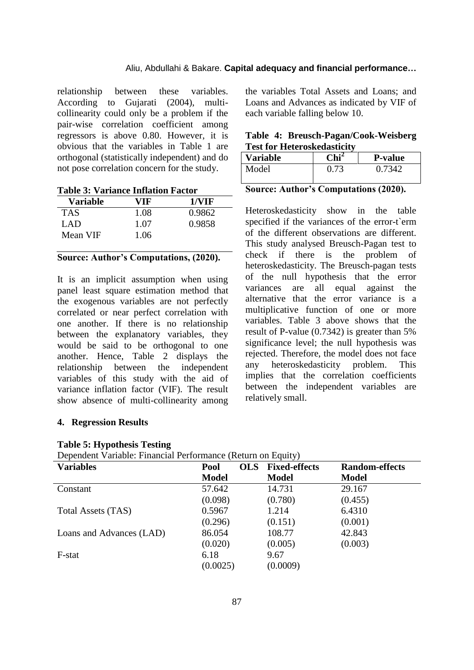relationship between these variables. According to Gujarati (2004), multicollinearity could only be a problem if the pair-wise correlation coefficient among regressors is above 0.80. However, it is obvious that the variables in Table 1 are orthogonal (statistically independent) and do not pose correlation concern for the study.

**Table 3: Variance Inflation Factor**

| Variable   | VIF  | 1/VIF  |
|------------|------|--------|
| <b>TAS</b> | 1.08 | 0.9862 |
| LAD        | 1.07 | 0.9858 |
| Mean VIF   | 1.06 |        |

# **Source: Author's Computations, (2020).**

It is an implicit assumption when using panel least square estimation method that the exogenous variables are not perfectly correlated or near perfect correlation with one another. If there is no relationship between the explanatory variables, they would be said to be orthogonal to one another. Hence, Table 2 displays the relationship between the independent variables of this study with the aid of variance inflation factor (VIF). The result show absence of multi-collinearity among

# the variables Total Assets and Loans; and Loans and Advances as indicated by VIF of each variable falling below 10.

|  | Table 4: Breusch-Pagan/Cook-Weisberg |
|--|--------------------------------------|
|  | <b>Test for Heteroskedasticity</b>   |

| <b>Variable</b> | $\mathbf{Chi}^2$ | <b>P-value</b> |
|-----------------|------------------|----------------|
| Model           | 0.73             | 0.7342         |

|  |  | <b>Source: Author's Computations (2020).</b> |  |  |
|--|--|----------------------------------------------|--|--|
|--|--|----------------------------------------------|--|--|

Heteroskedasticity show in the table specified if the variances of the error-t`erm of the different observations are different. This study analysed Breusch-Pagan test to check if there is the problem of heteroskedasticity. The Breusch-pagan tests of the null hypothesis that the error variances are all equal against the alternative that the error variance is a multiplicative function of one or more variables. Table 3 above shows that the result of P-value (0.7342) is greater than 5% significance level; the null hypothesis was rejected. Therefore, the model does not face any heteroskedasticity problem. This implies that the correlation coefficients between the independent variables are relatively small.

# **4. Regression Results**

| Dependent Variable: Financial Performance (Return on Equity) |  |  |
|--------------------------------------------------------------|--|--|
|--------------------------------------------------------------|--|--|

| <b>Variables</b>         | Pool         | <b>Fixed-effects</b><br><b>OLS</b> | <b>Random-effects</b> |
|--------------------------|--------------|------------------------------------|-----------------------|
|                          | <b>Model</b> | <b>Model</b>                       | <b>Model</b>          |
| Constant                 | 57.642       | 14.731                             | 29.167                |
|                          | (0.098)      | (0.780)                            | (0.455)               |
| Total Assets (TAS)       | 0.5967       | 1.214                              | 6.4310                |
|                          | (0.296)      | (0.151)                            | (0.001)               |
| Loans and Advances (LAD) | 86.054       | 108.77                             | 42.843                |
|                          | (0.020)      | (0.005)                            | (0.003)               |
| F-stat                   | 6.18         | 9.67                               |                       |
|                          | (0.0025)     | (0.0009)                           |                       |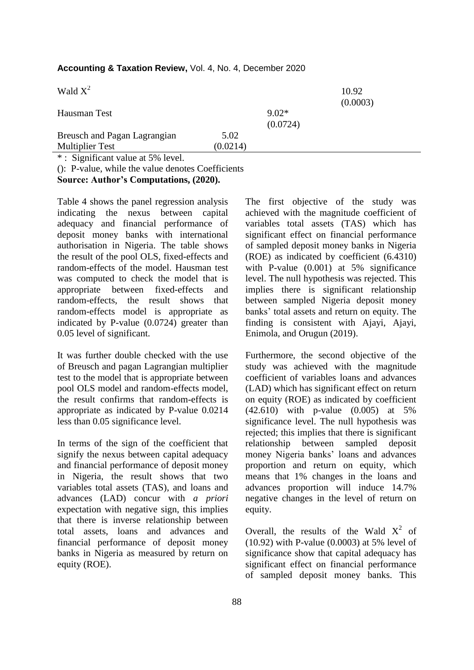| Wald $X^2$                           |          |                     | 10.92<br>(0.0003) |
|--------------------------------------|----------|---------------------|-------------------|
| Hausman Test                         |          | $9.02*$<br>(0.0724) |                   |
| Breusch and Pagan Lagrangian         | 5.02     |                     |                   |
| <b>Multiplier Test</b>               | (0.0214) |                     |                   |
| $*$ Significant value at $5\%$ level |          |                     |                   |

# **Accounting & Taxation Review,** Vol. 4, No. 4, December 2020

: Significant value at 5% level.

(): P-value, while the value denotes Coefficients

Table 4 shows the panel regression analysis indicating the nexus between capital adequacy and financial performance of deposit money banks with international authorisation in Nigeria. The table shows the result of the pool OLS, fixed-effects and random-effects of the model. Hausman test was computed to check the model that is appropriate between fixed-effects and random-effects, the result shows that random-effects model is appropriate as indicated by P-value (0.0724) greater than 0.05 level of significant.

It was further double checked with the use of Breusch and pagan Lagrangian multiplier test to the model that is appropriate between pool OLS model and random-effects model, the result confirms that random-effects is appropriate as indicated by P-value 0.0214 less than 0.05 significance level.

In terms of the sign of the coefficient that signify the nexus between capital adequacy and financial performance of deposit money in Nigeria, the result shows that two variables total assets (TAS), and loans and advances (LAD) concur with *a priori* expectation with negative sign, this implies that there is inverse relationship between total assets, loans and advances and financial performance of deposit money banks in Nigeria as measured by return on equity (ROE).

The first objective of the study was achieved with the magnitude coefficient of variables total assets (TAS) which has significant effect on financial performance of sampled deposit money banks in Nigeria (ROE) as indicated by coefficient (6.4310) with P-value (0.001) at 5% significance level. The null hypothesis was rejected. This implies there is significant relationship between sampled Nigeria deposit money banks" total assets and return on equity. The finding is consistent with Ajayi, Ajayi, Enimola, and Orugun (2019).

Furthermore, the second objective of the study was achieved with the magnitude coefficient of variables loans and advances (LAD) which has significant effect on return on equity (ROE) as indicated by coefficient (42.610) with p-value (0.005) at 5% significance level. The null hypothesis was rejected; this implies that there is significant relationship between sampled deposit money Nigeria banks" loans and advances proportion and return on equity, which means that 1% changes in the loans and advances proportion will induce 14.7% negative changes in the level of return on equity.

Overall, the results of the Wald  $X^2$  of (10.92) with P-value (0.0003) at 5% level of significance show that capital adequacy has significant effect on financial performance of sampled deposit money banks. This

**Source: Author's Computations, (2020).**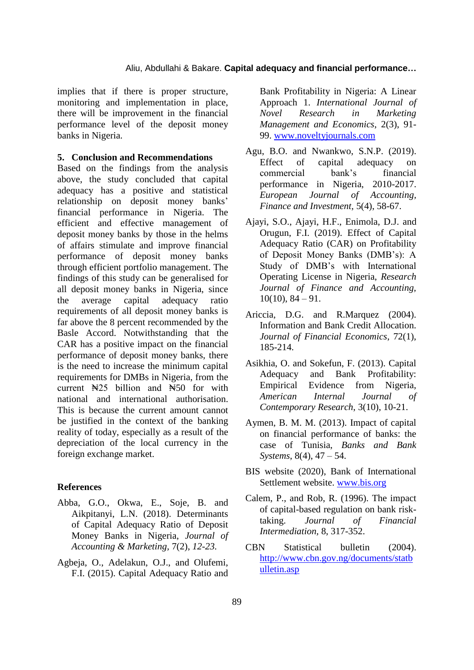implies that if there is proper structure, monitoring and implementation in place, there will be improvement in the financial performance level of the deposit money banks in Nigeria.

### **5. Conclusion and Recommendations**

Based on the findings from the analysis above, the study concluded that capital adequacy has a positive and statistical relationship on deposit money banks" financial performance in Nigeria. The efficient and effective management of deposit money banks by those in the helms of affairs stimulate and improve financial performance of deposit money banks through efficient portfolio management. The findings of this study can be generalised for all deposit money banks in Nigeria, since the average capital adequacy ratio requirements of all deposit money banks is far above the 8 percent recommended by the Basle Accord. Notwithstanding that the CAR has a positive impact on the financial performance of deposit money banks, there is the need to increase the minimum capital requirements for DMBs in Nigeria, from the current  $\mathbb{N}^{25}$  billion and  $\mathbb{N}^{50}$  for with national and international authorisation. This is because the current amount cannot be justified in the context of the banking reality of today, especially as a result of the depreciation of the local currency in the foreign exchange market.

# **References**

- Abba, G.O., Okwa, E., Soje, B. and Aikpitanyi, L.N. (2018). Determinants of Capital Adequacy Ratio of Deposit Money Banks in Nigeria, *Journal of Accounting & Marketing,* 7(2), *12-23.*
- Agbeja, O., Adelakun, O.J., and Olufemi, F.I. (2015). Capital Adequacy Ratio and

Bank Profitability in Nigeria: A Linear Approach 1. *International Journal of Novel Research in Marketing Management and Economics*, 2(3), 91- 99. [www.noveltyjournals.com](http://www.noveltyjournals.com/)

- Agu, B.O. and Nwankwo, S.N.P. (2019). Effect of capital adequacy on commercial bank"s financial performance in Nigeria, 2010-2017. *European Journal of Accounting, Finance and Investment,* 5(4), 58-67.
- Ajayi, S.O., Ajayi, H.F., Enimola, D.J. and Orugun, F.I. (2019). Effect of Capital Adequacy Ratio (CAR) on Profitability of Deposit Money Banks (DMB"s): A Study of DMB"s with International Operating License in Nigeria, *Research Journal of Finance and Accounting,*  $10(10), 84 - 91.$
- Ariccia, D.G. and R.Marquez (2004). Information and Bank Credit Allocation. *Journal of Financial Economics*, 72(1), 185-214.
- Asikhia, O. and Sokefun, F. (2013). Capital Adequacy and Bank Profitability: Empirical Evidence from Nigeria, *American Internal Journal of Contemporary Research*, 3(10), 10-21.
- Aymen, B. M. M. (2013). Impact of capital on financial performance of banks: the case of Tunisia, *Banks and Bank Systems*, 8(4), 47 – 54.
- BIS website (2020), Bank of International Settlement website. [www.bis.org](http://www.bis.org/)
- Calem, P., and Rob, R. (1996). The impact of capital-based regulation on bank risktaking. *Journal of Financial Intermediation,* 8, 317-352.
- CBN Statistical bulletin (2004). [http://www.cbn.gov.ng/documents/statb](http://www.cbn.gov.ng/documents/statbulletin.asp) [ulletin.asp](http://www.cbn.gov.ng/documents/statbulletin.asp)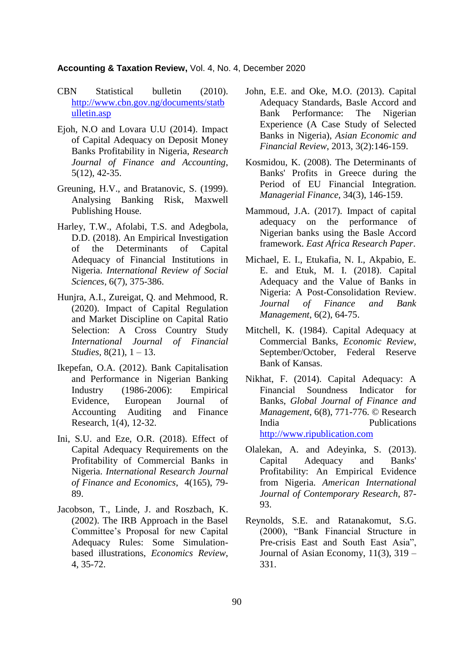# **Accounting & Taxation Review,** Vol. 4, No. 4, December 2020

- CBN Statistical bulletin (2010). [http://www.cbn.gov.ng/documents/statb](http://www.cbn.gov.ng/documents/statbulletin.asp) [ulletin.asp](http://www.cbn.gov.ng/documents/statbulletin.asp)
- Ejoh, N.O and Lovara U.U (2014). Impact of Capital Adequacy on Deposit Money Banks Profitability in Nigeria, *Research Journal of Finance and Accounting*, 5(12), 42-35.
- Greuning, H.V., and Bratanovic, S. (1999). Analysing Banking Risk, Maxwell Publishing House.
- Harley, T.W., Afolabi, T.S. and Adegbola, D.D. (2018). An Empirical Investigation of the Determinants of Capital Adequacy of Financial Institutions in Nigeria. *International Review of Social Sciences*, 6(7), 375-386.
- Hunjra, A.I., Zureigat, Q. and Mehmood, R. (2020). Impact of Capital Regulation and Market Discipline on Capital Ratio Selection: A Cross Country Study *International Journal of Financial Studies,* 8(21), 1 – 13.
- Ikepefan, O.A. (2012). Bank Capitalisation and Performance in Nigerian Banking Industry (1986-2006): Empirical Evidence, European Journal of Accounting Auditing and Finance Research, 1(4), 12-32.
- Ini, S.U. and Eze, O.R. (2018). Effect of Capital Adequacy Requirements on the Profitability of Commercial Banks in Nigeria. *International Research Journal of Finance and Economics*, 4(165), 79- 89.
- Jacobson, T., Linde, J. and Roszbach, K. (2002). The IRB Approach in the Basel Committee"s Proposal for new Capital Adequacy Rules: Some Simulationbased illustrations, *Economics Review*, 4, 35-72.
- John, E.E. and Oke, M.O. (2013). Capital Adequacy Standards, Basle Accord and Bank Performance: The Nigerian Experience (A Case Study of Selected Banks in Nigeria), *Asian Economic and Financial Review*, 2013, 3(2):146-159.
- Kosmidou, K. (2008). The Determinants of Banks' Profits in Greece during the Period of EU Financial Integration. *Managerial Finance,* 34(3), 146-159.
- Mammoud, J.A. (2017). Impact of capital adequacy on the performance of Nigerian banks using the Basle Accord framework. *East Africa Research Paper*.
- Michael, E. I., Etukafia, N. I., Akpabio, E. E. and Etuk, M. I. (2018). Capital Adequacy and the Value of Banks in Nigeria: A Post-Consolidation Review. *Journal of Finance and Bank Management*, 6(2), 64-75.
- Mitchell, K. (1984). Capital Adequacy at Commercial Banks, *Economic Review*, September/October, Federal Reserve Bank of Kansas.
- Nikhat, F. (2014). Capital Adequacy: A Financial Soundness Indicator for Banks, *Global Journal of Finance and Management,* 6(8), 771-776. © Research India Publications [http://www.ripublication.com](http://www.ripublication.com/)
- Olalekan, A. and Adeyinka, S. (2013). Capital Adequacy and Banks' Profitability: An Empirical Evidence from Nigeria. *American International Journal of Contemporary Research*, 87- 93.
- Reynolds, S.E. and Ratanakomut, S.G. (2000), "Bank Financial Structure in Pre-crisis East and South East Asia", Journal of Asian Economy, 11(3), 319 – 331.